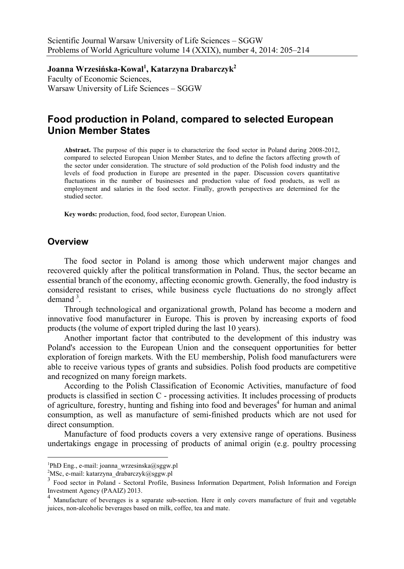**Joanna Wrzesińska-Kowal1 , Katarzyna Drabarczyk2** Faculty of Economic Sciences, Warsaw University of Life Sciences – SGGW

# **Food production in Poland, compared to selected European Union Member States**

**Abstract.** The purpose of this paper is to characterize the food sector in Poland during 2008-2012, compared to selected European Union Member States, and to define the factors affecting growth of the sector under consideration. The structure of sold production of the Polish food industry and the levels of food production in Europe are presented in the paper. Discussion covers quantitative fluctuations in the number of businesses and production value of food products, as well as employment and salaries in the food sector. Finally, growth perspectives are determined for the studied sector.

**Key words:** production, food, food sector, European Union.

## **Overview**

 $\overline{a}$ 

The food sector in Poland is among those which underwent major changes and recovered quickly after the political transformation in Poland. Thus, the sector became an essential branch of the economy, affecting economic growth. Generally, the food industry is considered resistant to crises, while business cycle fluctuations do no strongly affect demand  $3$ .

Through technological and organizational growth, Poland has become a modern and innovative food manufacturer in Europe. This is proven by increasing exports of food products (the volume of export tripled during the last 10 years).

Another important factor that contributed to the development of this industry was Poland's accession to the European Union and the consequent opportunities for better exploration of foreign markets. With the EU membership, Polish food manufacturers were able to receive various types of grants and subsidies. Polish food products are competitive and recognized on many foreign markets.

According to the Polish Classification of Economic Activities, manufacture of food products is classified in section C - processing activities. It includes processing of products of agriculture, forestry, hunting and fishing into food and beverages<sup>4</sup> for human and animal consumption, as well as manufacture of semi-finished products which are not used for direct consumption.

Manufacture of food products covers a very extensive range of operations. Business undertakings engage in processing of products of animal origin (e.g. poultry processing

<sup>1</sup> PhD Eng., e-mail: joanna\_wrzesinska@sggw.pl

<sup>&</sup>lt;sup>2</sup>MSc, e-mail: katarzyna\_drabarczyk@sggw.pl

<sup>&</sup>lt;sup>3</sup> Food sector in Poland - Sectoral Profile, Business Information Department, Polish Information and Foreign Investment Agency (PAAIZ) 2013.

<sup>&</sup>lt;sup>4</sup> Manufacture of beverages is a separate sub-section. Here it only covers manufacture of fruit and vegetable juices, non-alcoholic beverages based on milk, coffee, tea and mate.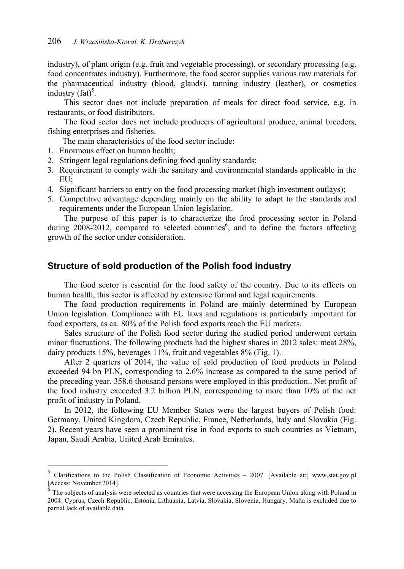industry), of plant origin (e.g. fruit and vegetable processing), or secondary processing (e.g. food concentrates industry). Furthermore, the food sector supplies various raw materials for the pharmaceutical industry (blood, glands), tanning industry (leather), or cosmetics industry  $(fat)^5$ .

This sector does not include preparation of meals for direct food service, e.g. in restaurants, or food distributors.

The food sector does not include producers of agricultural produce, animal breeders, fishing enterprises and fisheries.

The main characteristics of the food sector include:

1. Enormous effect on human health;

 $\overline{a}$ 

- 2. Stringent legal regulations defining food quality standards;
- 3. Requirement to comply with the sanitary and environmental standards applicable in the EU;
- 4. Significant barriers to entry on the food processing market (high investment outlays);
- 5. Competitive advantage depending mainly on the ability to adapt to the standards and requirements under the European Union legislation.

The purpose of this paper is to characterize the food processing sector in Poland during 2008-2012, compared to selected countries<sup>6</sup>, and to define the factors affecting growth of the sector under consideration.

#### **Structure of sold production of the Polish food industry**

The food sector is essential for the food safety of the country. Due to its effects on human health, this sector is affected by extensive formal and legal requirements.

The food production requirements in Poland are mainly determined by European Union legislation. Compliance with EU laws and regulations is particularly important for food exporters, as ca. 80% of the Polish food exports reach the EU markets.

Sales structure of the Polish food sector during the studied period underwent certain minor fluctuations. The following products had the highest shares in 2012 sales: meat 28%, dairy products 15%, beverages 11%, fruit and vegetables 8% (Fig. 1).

After 2 quarters of 2014, the value of sold production of food products in Poland exceeded 94 bn PLN, corresponding to 2.6% increase as compared to the same period of the preceding year. 358.6 thousand persons were employed in this production.. Net profit of the food industry exceeded 3.2 billion PLN, corresponding to more than 10% of the net profit of industry in Poland.

In 2012, the following EU Member States were the largest buyers of Polish food: Germany, United Kingdom, Czech Republic, France, Netherlands, Italy and Slovakia (Fig. 2). Recent years have seen a prominent rise in food exports to such countries as Vietnam, Japan, Saudi Arabia, United Arab Emirates.

<sup>5</sup> Clarifications to the Polish Classification of Economic Activities – 2007. [Available at:] www.stat.gov.pl [Access: November 2014].

The subjects of analysis were selected as countries that were accessing the European Union along with Poland in 2004: Cyprus, Czech Republic, Estonia, Lithuania, Latvia, Slovakia, Slovenia, Hungary. Malta is excluded due to partial lack of available data.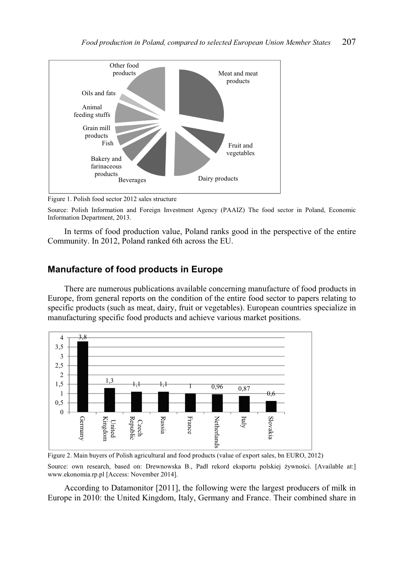

Figure 1. Polish food sector 2012 sales structure

Source: Polish Information and Foreign Investment Agency (PAAIZ) The food sector in Poland, Economic Information Department, 2013.

In terms of food production value, Poland ranks good in the perspective of the entire Community. In 2012, Poland ranked 6th across the EU.

## **Manufacture of food products in Europe**

There are numerous publications available concerning manufacture of food products in Europe, from general reports on the condition of the entire food sector to papers relating to specific products (such as meat, dairy, fruit or vegetables). European countries specialize in manufacturing specific food products and achieve various market positions.



Figure 2. Main buyers of Polish agricultural and food products (value of export sales, bn EURO, 2012) Source: own research, based on: Drewnowska B., Padł rekord eksportu polskiej żywności. [Available at:] www.ekonomia.rp.pl [Access: November 2014].

According to Datamonitor [2011], the following were the largest producers of milk in Europe in 2010: the United Kingdom, Italy, Germany and France. Their combined share in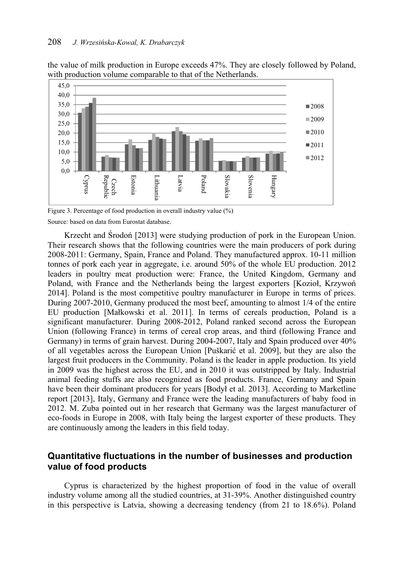the value of milk production in Europe exceeds 47%. They are closely followed by Poland, with production volume comparable to that of the Netherlands.



Figure 3. Percentage of food production in overall industry value (%) Source: based on data from Eurostat database.

Krzecht and Środoń [2013] were studying production of pork in the European Union. Their research shows that the following countries were the main producers of pork during 2008-2011: Germany, Spain, France and Poland. They manufactured approx. 10-11 million tonnes of pork each year in aggregate, i.e. around 50% of the whole EU production. 2012 leaders in poultry meat production were: France, the United Kingdom, Germany and Poland, with France and the Netherlands being the largest exporters [Kozioł, Krzywoń 2014]. Poland is the most competitive poultry manufacturer in Europe in terms of prices. During 2007-2010, Germany produced the most beef, amounting to almost 1/4 of the entire EU production [Maákowski et al. 2011]. In terms of cereals production, Poland is a significant manufacturer. During 2008-2012, Poland ranked second across the European Union (following France) in terms of cereal crop areas, and third (following France and Germany) in terms of grain harvest. During 2004-2007, Italy and Spain produced over 40% of all vegetables across the European Union [Puškariü et al. 2009], but they are also the largest fruit producers in the Community. Poland is the leader in apple production. Its yield in 2009 was the highest across the EU, and in 2010 it was outstripped by Italy. Industrial animal feeding stuffs are also recognized as food products. France, Germany and Spain have been their dominant producers for years [Bodyl et al. 2013]. According to Marketline report [2013], Italy, Germany and France were the leading manufacturers of baby food in 2012. M. Zuba pointed out in her research that Germany was the largest manufacturer of eco-foods in Europe in 2008, with Italy being the largest exporter of these products. They are continuously among the leaders in this field today.

## **Quantitative fluctuations in the number of businesses and production value of food products**

Cyprus is characterized by the highest proportion of food in the value of overall industry volume among all the studied countries, at 31-39%. Another distinguished country in this perspective is Latvia, showing a decreasing tendency (from 21 to 18.6%). Poland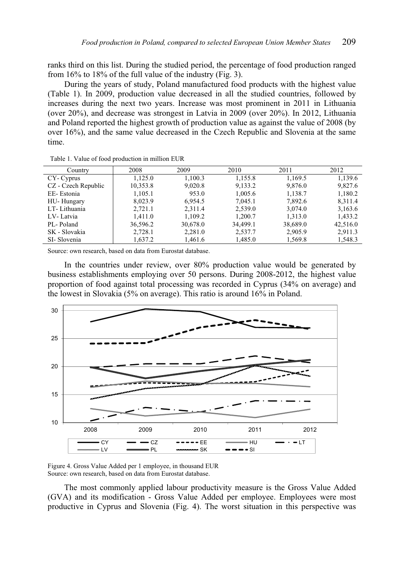ranks third on this list. During the studied period, the percentage of food production ranged from 16% to 18% of the full value of the industry (Fig. 3).

During the years of study, Poland manufactured food products with the highest value (Table 1). In 2009, production value decreased in all the studied countries, followed by increases during the next two years. Increase was most prominent in 2011 in Lithuania (over 20%), and decrease was strongest in Latvia in 2009 (over 20%). In 2012, Lithuania and Poland reported the highest growth of production value as against the value of 2008 (by over 16%), and the same value decreased in the Czech Republic and Slovenia at the same time.

| Country             | 2008     | 2009     | 2010     | 2011     | 2012     |
|---------------------|----------|----------|----------|----------|----------|
| CY-Cyprus           | 1.125.0  | 1,100.3  | 1,155.8  | 1,169.5  | 1,139.6  |
| CZ - Czech Republic | 10,353.8 | 9,020.8  | 9,133.2  | 9,876.0  | 9,827.6  |
| EE-Estonia          | 1,105.1  | 953.0    | 1,005.6  | 1,138.7  | 1,180.2  |
| HU-Hungary          | 8,023.9  | 6,954.5  | 7.045.1  | 7,892.6  | 8,311.4  |
| LT-Lithuania        | 2.721.1  | 2,311.4  | 2,539.0  | 3.074.0  | 3,163.6  |
| LV-Latvia           | 1,411.0  | 1.109.2  | 1,200.7  | 1,313.0  | 1,433.2  |
| PL-Poland           | 36,596.2 | 30,678.0 | 34.499.1 | 38,689.0 | 42,516.0 |
| SK - Slovakia       | 2,728.1  | 2,281.0  | 2,537.7  | 2,905.9  | 2,911.3  |
| SI-Slovenia         | 1,637.2  | 1,461.6  | 1,485.0  | 1,569.8  | 1,548.3  |
|                     |          |          |          |          |          |

Table 1. Value of food production in million EUR

Source: own research, based on data from Eurostat database.

In the countries under review, over 80% production value would be generated by business establishments employing over 50 persons. During 2008-2012, the highest value proportion of food against total processing was recorded in Cyprus (34% on average) and the lowest in Slovakia (5% on average). This ratio is around 16% in Poland.



Figure 4. Gross Value Added per 1 employee, in thousand EUR Source: own research, based on data from Eurostat database.

The most commonly applied labour productivity measure is the Gross Value Added (GVA) and its modification - Gross Value Added per employee. Employees were most productive in Cyprus and Slovenia (Fig. 4). The worst situation in this perspective was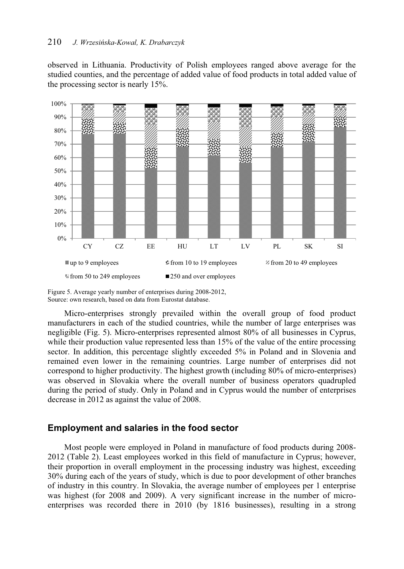observed in Lithuania. Productivity of Polish employees ranged above average for the studied counties, and the percentage of added value of food products in total added value of the processing sector is nearly 15%.



Figure 5. Average yearly number of enterprises during 2008-2012, Source: own research, based on data from Eurostat database.

Micro-enterprises strongly prevailed within the overall group of food product manufacturers in each of the studied countries, while the number of large enterprises was negligible (Fig. 5). Micro-enterprises represented almost 80% of all businesses in Cyprus, while their production value represented less than 15% of the value of the entire processing sector. In addition, this percentage slightly exceeded 5% in Poland and in Slovenia and remained even lower in the remaining countries. Large number of enterprises did not correspond to higher productivity. The highest growth (including 80% of micro-enterprises) was observed in Slovakia where the overall number of business operators quadrupled during the period of study. Only in Poland and in Cyprus would the number of enterprises decrease in 2012 as against the value of 2008.

#### **Employment and salaries in the food sector**

Most people were employed in Poland in manufacture of food products during 2008- 2012 (Table 2). Least employees worked in this field of manufacture in Cyprus; however, their proportion in overall employment in the processing industry was highest, exceeding 30% during each of the years of study, which is due to poor development of other branches of industry in this country. In Slovakia, the average number of employees per 1 enterprise was highest (for 2008 and 2009). A very significant increase in the number of microenterprises was recorded there in 2010 (by 1816 businesses), resulting in a strong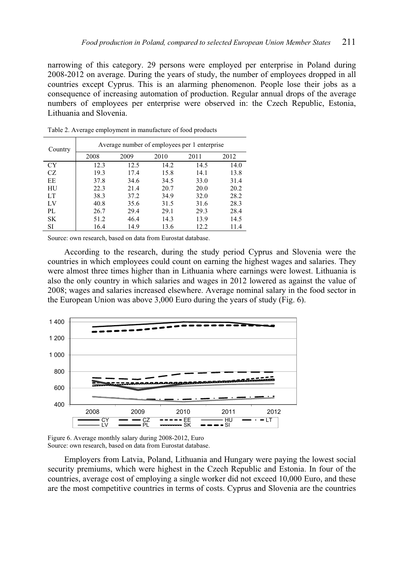narrowing of this category. 29 persons were employed per enterprise in Poland during 2008-2012 on average. During the years of study, the number of employees dropped in all countries except Cyprus. This is an alarming phenomenon. People lose their jobs as a consequence of increasing automation of production. Regular annual drops of the average numbers of employees per enterprise were observed in: the Czech Republic, Estonia, Lithuania and Slovenia.

| Country | Average number of employees per 1 enterprise |      |      |      |      |  |  |
|---------|----------------------------------------------|------|------|------|------|--|--|
|         | 2008                                         | 2009 | 2010 | 2011 | 2012 |  |  |
| CY      | 12.3                                         | 12.5 | 14.2 | 14.5 | 14.0 |  |  |
| CZ      | 19.3                                         | 17.4 | 15.8 | 14.1 | 13.8 |  |  |
| EE      | 37.8                                         | 34.6 | 34.5 | 33.0 | 31.4 |  |  |
| HU      | 22.3                                         | 21.4 | 20.7 | 20.0 | 20.2 |  |  |
| LT.     | 38.3                                         | 37.2 | 34.9 | 32.0 | 28.2 |  |  |
| LV      | 40.8                                         | 35.6 | 31.5 | 31.6 | 28.3 |  |  |
| PL.     | 26.7                                         | 29.4 | 29.1 | 29.3 | 28.4 |  |  |
| SK      | 51.2                                         | 46.4 | 14.3 | 13.9 | 14.5 |  |  |
| SI      | 16.4                                         | 14.9 | 13.6 | 12.2 | 11.4 |  |  |

Table 2. Average employment in manufacture of food products

Source: own research, based on data from Eurostat database.

According to the research, during the study period Cyprus and Slovenia were the countries in which employees could count on earning the highest wages and salaries. They were almost three times higher than in Lithuania where earnings were lowest. Lithuania is also the only country in which salaries and wages in 2012 lowered as against the value of 2008; wages and salaries increased elsewhere. Average nominal salary in the food sector in the European Union was above 3,000 Euro during the years of study (Fig. 6).





Employers from Latvia, Poland, Lithuania and Hungary were paying the lowest social security premiums, which were highest in the Czech Republic and Estonia. In four of the countries, average cost of employing a single worker did not exceed 10,000 Euro, and these are the most competitive countries in terms of costs. Cyprus and Slovenia are the countries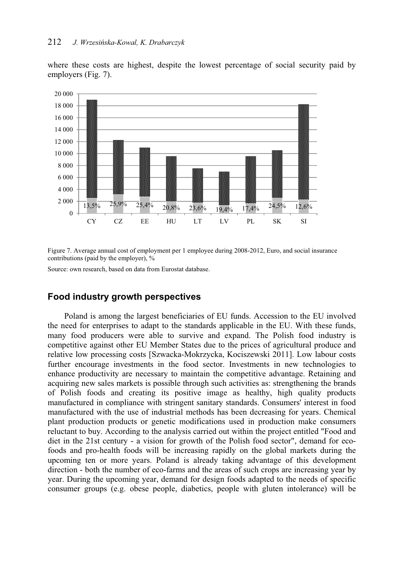#### 212 *J. WrzesiĔska-Kowal, K. Drabarczyk*

where these costs are highest, despite the lowest percentage of social security paid by employers (Fig. 7).



Figure 7. Average annual cost of employment per 1 employee during 2008-2012, Euro, and social insurance contributions (paid by the employer), %

Source: own research, based on data from Eurostat database.

### **Food industry growth perspectives**

Poland is among the largest beneficiaries of EU funds. Accession to the EU involved the need for enterprises to adapt to the standards applicable in the EU. With these funds, many food producers were able to survive and expand. The Polish food industry is competitive against other EU Member States due to the prices of agricultural produce and relative low processing costs [Szwacka-Mokrzycka, Kociszewski 2011]. Low labour costs further encourage investments in the food sector. Investments in new technologies to enhance productivity are necessary to maintain the competitive advantage. Retaining and acquiring new sales markets is possible through such activities as: strengthening the brands of Polish foods and creating its positive image as healthy, high quality products manufactured in compliance with stringent sanitary standards. Consumers' interest in food manufactured with the use of industrial methods has been decreasing for years. Chemical plant production products or genetic modifications used in production make consumers reluctant to buy. According to the analysis carried out within the project entitled "Food and diet in the 21st century - a vision for growth of the Polish food sector", demand for ecofoods and pro-health foods will be increasing rapidly on the global markets during the upcoming ten or more years. Poland is already taking advantage of this development direction - both the number of eco-farms and the areas of such crops are increasing year by year. During the upcoming year, demand for design foods adapted to the needs of specific consumer groups (e.g. obese people, diabetics, people with gluten intolerance) will be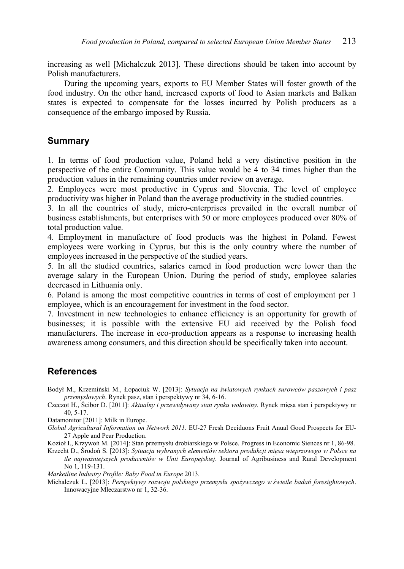increasing as well [Michalczuk 2013]. These directions should be taken into account by Polish manufacturers.

During the upcoming years, exports to EU Member States will foster growth of the food industry. On the other hand, increased exports of food to Asian markets and Balkan states is expected to compensate for the losses incurred by Polish producers as a consequence of the embargo imposed by Russia.

## **Summary**

1. In terms of food production value, Poland held a very distinctive position in the perspective of the entire Community. This value would be 4 to 34 times higher than the production values in the remaining countries under review on average.

2. Employees were most productive in Cyprus and Slovenia. The level of employee productivity was higher in Poland than the average productivity in the studied countries.

3. In all the countries of study, micro-enterprises prevailed in the overall number of business establishments, but enterprises with 50 or more employees produced over 80% of total production value.

4. Employment in manufacture of food products was the highest in Poland. Fewest employees were working in Cyprus, but this is the only country where the number of employees increased in the perspective of the studied years.

5. In all the studied countries, salaries earned in food production were lower than the average salary in the European Union. During the period of study, employee salaries decreased in Lithuania only.

6. Poland is among the most competitive countries in terms of cost of employment per 1 employee, which is an encouragement for investment in the food sector.

7. Investment in new technologies to enhance efficiency is an opportunity for growth of businesses; it is possible with the extensive EU aid received by the Polish food manufacturers. The increase in eco-production appears as a response to increasing health awareness among consumers, and this direction should be specifically taken into account.

## **References**

- Bodył M., Krzemiński M., Łopaciuk W. [2013]: *Sytuacja na światowych rynkach surowców paszowych i pasz przemysłowych*. Rynek pasz, stan i perspektywy nr 34, 6-16.
- Czeczot H., Ścibor D. [2011]: *Aktualny i przewidywany stan rynku wołowiny.* Rynek mięsa stan i perspektywy nr 40, 5-17.

Datamonitor [2011]: Milk in Europe.

*Global Agricultural Information on Network 2011*. EU-27 Fresh Deciduons Fruit Anual Good Prospects for EU-27 Apple and Pear Production.

Kozioł I., Krzywoń M. [2014]: Stan przemysłu drobiarskiego w Polsce. Progress in Economic Siences nr 1, 86-98.

Krzecht D., Środoń S. [2013]: *Sytuacja wybranych elementów sektora produkcji mięsa wieprzowego w Polsce na tle najważniejszych producentów w Unii Europejskiej*. Journal of Agribusiness and Rural Development No 1, 119-131.

*Marketline Industry Profile: Baby Food in Europe* 2013.

Michalczuk L. [2013]: *Perspektywy rozwoju polskiego przemysłu spożywczego w świetle badań foresightowych*. Innowacyjne Mleczarstwo nr 1, 32-36.